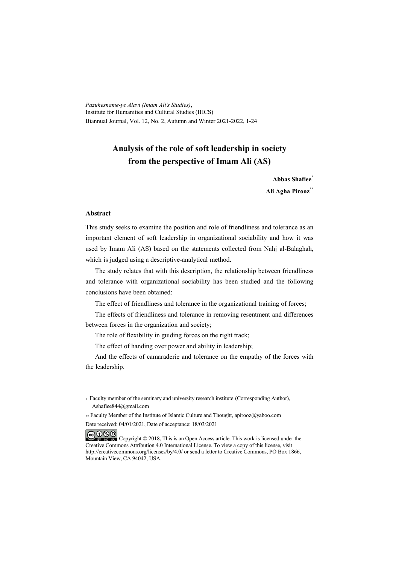*Pazuhesname-ye Alavi (Imam Ali's Studies)*, Institute for Humanities and Cultural Studies (IHCS) Biannual Journal, Vol. 12, No. 2, Autumn and Winter 2021-2022, 1-24

# **Analysis of the role of soft leadership in society from the perspective of Imam Ali (AS)**

**Abbas Shafiee\***

**Ali Agha Pirooz\*\***

#### **Abstract**

This study seeks to examine the position and role of friendliness and tolerance as an important element of soft leadership in organizational sociability and how it was used by Imam Ali (AS) based on the statements collected from Nahj al-Balaghah, which is judged using a descriptive-analytical method.

The study relates that with this description, the relationship between friendliness and tolerance with organizational sociability has been studied and the following conclusions have been obtained:

The effect of friendliness and tolerance in the organizational training of forces;

The effects of friendliness and tolerance in removing resentment and differences between forces in the organization and society;

The role of flexibility in guiding forces on the right track;

The effect of handing over power and ability in leadership;

And the effects of camaraderie and tolerance on the empathy of the forces with the leadership.

\* Faculty member of the seminary and university research institute (Corresponding Author), Ashafiee844@gmail.com

\*\* Faculty Member of the Institute of Islamic Culture and Thought, apirooz@yahoo.com

Date received: 04/01/2021, Date of acceptance: 18/03/2021

COOO Copyright © 2018, This is an Open Access article. This work is licensed under the Creative Commons Attribution 4.0 International License. To view a copy of this license, visit http://creativecommons.org/licenses/by/4.0/ or send a letter to Creative Commons, PO Box 1866, Mountain View, CA 94042, USA.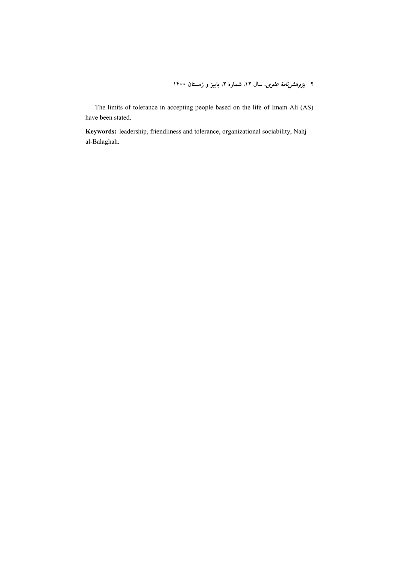۲ *پژوهشزنامهٔ علوی*، سال ۱۲. شمارهٔ ۲. پاییز و زمستان ۱۴۰۰

The limits of tolerance in accepting people based on the life of Imam Ali (AS) have been stated.

**Keywords:** leadership, friendliness and tolerance, organizational sociability, Nahj al-Balaghah.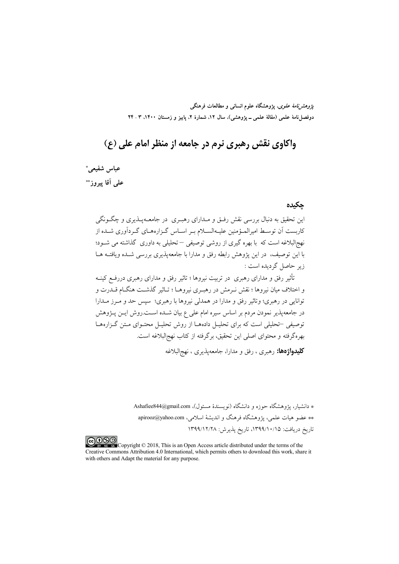*پژوهشنامهٔ علوی*، پژوهشگاه علوم انسانی و مطالعات فرهنگی دوفصلنامهٔ علمی (مقالهٔ علمی ــ پژوهشی)، سال ۱۲، شمارهٔ ۲، پاییز و زمستان ۱۴۰۰، ۳ ـ ۲۴

واکاوي نقش رهبري نرم در جامعه از منظر امام علي (ع)

عباس شفيعي\* علمي آقا پيروز\*\*

حكىدە

این تحقیق به دنبال بررسی نقش رفــق و مــدارای رهبــری در جامعــهپـــذیری و چگــونگی کاریست اَن توسیط امبرالمیؤمنین علیـهالسـلام بـر اسـاس گـزارههـای گـردآوری شـیده از نهج|لبلاغه است که با بهره گیری از روشی توصیفی —تحلیلی به داوری گذاشته می شــود؛ با این توصیف، در این پژوهش رابطه رفق و مدارا با جامعهپذیری بررسی شـده ویافتــه هــا زير حاصل گرديده است :

.<br>تأثیر رفق و مدارای رهبری در تربیت نیروها ؛ تاثیر رفق و مدارای رهبری دررفــع کینــه و اختلاف میان نیروها ؛ نقش نیرمش در رهبیری نیروهیا ؛ تباثیر گذشت هنگیام قیدرت و توانایی در رهبری؛ وتاثیر رفق و مدارا در همدلی نیروها با رهبری؛ سیس حد و مــرز مــدارا در جامعه یذیر نمودن مردم بر اساس سیره امام علی ع بیان شــده اســت.روش ایــن پــژوهش توصیفی –تحلیلی است که برای تحلیـل دادههـا از روش تحلیـل محتـوای مـتن گـزارههـا بهرهگرفته و محتواي اصلي اين تحقيق، برگرفته از كتاب نهجالبلاغه است.

**کلیدواژهها:** رهبری ، رفق و مدارا، جامعهپذیری ، نهجالبلاغه

\* دانشیار، یژوهشگاه حوزه و دانشگاه (نویسندهٔ مسئول)، Ashafiee844@gmail.com \*\* عضو هيات علمي، يژوهشگاه فرهنگ و انديشهٔ اسلامي، apirooz@yahoo.com تاريخ دريافت: ١٣٩٩/١٠/١٥، تاريخ پذيرش: ١٣٩٩/١٢/٢٨

COOO SO Copyright © 2018, This is an Open Access article distributed under the terms of the Creative Commons Attribution 4.0 International, which permits others to download this work, share it with others and Adapt the material for any purpose.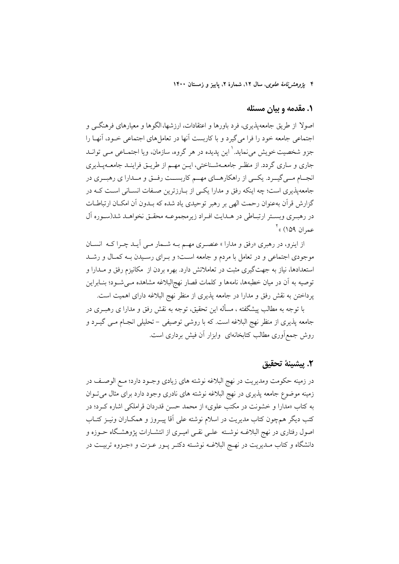۴ يژ*وهش نامهٔ علوی*، سال ۱۲، شمارهٔ ۲، پاییز و زمستان ۱۴۰۰

#### ۱. مقدمه و بیان مسئله

اصولا از طریق جامعهیذیری، فرد باورها و اعتقادات، ارزشها،الگوها و معیارهای فرهنگــی و اجتماعی جامعه خود را فرا میگیرد و با کاربست آنها در تعاملهای اجتماعی خـود، آنهـا را جزو شخصیت خویش می نماید. ٰ این پدیده در هر گروه، سازمان، ویا اجتمــاعی مــی توانــد جاری و ساری گردد. از منظر جامعــهشــناختی، ایــن مهــم از طریــق فراینــد جامعــهیــذیری انجــام مــي گيــرد. يكــي از راهكارهــاي مهــم كاربســت رفــق و مــدارا ي رهبــري در جامعهپذیری است؛ چه اینکه رفق و مدارا یکمی از بارزترین صـفات انسـانی اسـت کـه در گزارش قرآن بهعنوان رحمت الهي بر رهبر توحيدي ياد شده كه بـدون آن امكـان ارتباطـات در رهبـري وبسـتر ارتبـاطي در هـدايت افـراد زيرمجموعـه محقـق نخواهـد شد(سـوره اَل عمران ١۵٩) » ٰ

از اینرو، در رهبری «رفق و مدارا » عنصـری مهـم بــه شــمار مــی آیــد چــرا کــه انســان موجودی اجتماعی و در تعامل با مردم و جامعه است؛ و بـرای رسـیدن بـه کمـال و رشـد استعدادها، نیاز به جهت گیری مثبت در تعاملاتش دارد. بهره بردن از مکانیزم رفق و مــدارا و توصیه به آن در میان خطبهها، نامهها و کلمات قصار نهج|لبلاغه مشاهده مـیشــود؛ بنــابراین پرداختن به نقش رفق و مدارا در جامعه پذیری از منظر نهج البلاغه دارای اهمیت است.

با توجه به مطالب پیشگفته ، مسأله این تحقیق، توجه به نقش رفق و مدارا ی رهبـری در جامعه پذیری از منظر نهج البلاغه است. که با روشی توصیفی – تحلیلی انجـام مــی گیــرد و روش جمع[وری مطالب کتابخانهای وابزار آن فیش برداری است.

#### ٢. ييشينة تحقيق

در زمينه حكومت ومديريت در نهج البلاغه نوشته هاى زيادى وجـود دارد؛ مـع الوصـف در زمینه موضوع جامعه پذیری در نهج البلاغه نوشته های نادری وجود دارد برای مثال می توان به کتاب «مدارا و خشونت در مکتب علوی» از محمد حسن قدردان قراملکی اشاره کـرد؛ در کتب دیگر همچون کتاب مدیریت در اسلام نوشته علی آقا پیـروز و همکـاران ونیــز کتــاب اصول رفتاری در نهج البلاغــه نوشــته علــی نقــی امیــری از انتشــارات پژوهشــگاه حــوزه و دانشگاه و کتاب مـديريت در نهـج البلاغـه نوشـته دکتـر پــور عــزت و «جــزوه تربيــت در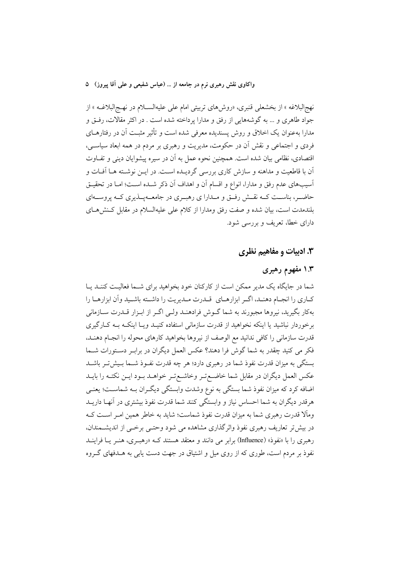نهجالبلاغه » از بخشعلی قنبری، «روشهای تربیتی امام علی علیهالسـلام در نهـجالبلاغــه » از جواد طاهري و … به گوشههايي از رفق و مدارا يرداخته شده است . در اكثر مقالات، رفتي و مدارا بهعنوان یک اخلاق و روش پسندیده معرفی شده است و تأثیر مثبـت آن در رفتارهــای فردي و اجتماعي و نقش آن در حکومت، مديريت و رهبري بر مردم در همه ابعاد سياســي، اقتصادي، نظامي بيان شده است. همچنين نحوه عمل به آن در سيره پيشوايان ديني و تفــاوت آن با قاطعیت و مداهنه و سازش کاری بررسی گردیــده اســت. در ایــن نوشــته هــا آفــات و اّسیبهای عدم رفق و مدارا، انواع و اقسام اَن و اهداف اَن ذکر شــده اســت؛ امــا در تحقیــق حاضــر، بناســت كــه نقــش رفــق و مــدارا ي رهبــري در جامعــهيــذيري كــه پروســهاي بلندمدت است، بیان شده و صفت رفق ومدارا از کلام علی علیهالسلام در مقابل کـنش۱هـای دارای خطا، تعریف و بررسی شود.

#### **۳. ادبیات و مفاهیم نظری**

## ۱.۳ مفهوم رهبری

شما در جایگاه یک مدیر ممکن است از کارکنان خود بخواهید برای شـما فعالیـت کننـد یـا كـاري را انجـام دهنـد، اگـر ابزارهـاي قـدرت مـديريت را داشـته باشـيد وأن ابزارهـا را بهکار بگیرید، نیروها مجبورند به شما گــوش فرادهنــد ولــی اگــر از ابــزار قــدرت ســازمانی برخوردار نباشید یا اینکه نخواهید از قدرت سازمانی استفاده کنیـد ویـا اینکـه بـه کـارگیری قدرت سازمانی را کافی ندانید مع الوصف از نیروها بخواهید کارهای محوله را انجـام دهنـد، فکر می کنید چقدر به شما گوش فرا دهند؟ عکس العمل دیگران در برابـر دسـتورات شــما بستگی به میزان قدرت نفوذ شما در رهبری دارد؛ هر چه قدرت نفـوذ شـما بـیش تـر باشـد عكس العمل ديگران در مقابل شما خاضع تـر وخاشـع تـر خواهــد بــود ايــن نكتــه را بايــد اضافه کرد که میزان نفوذ شما بستگی به نوع وشدت وابستگی دیگـران بــه شماســت؛ یعنــی هرقدر دیگران به شما احساس نیاز و وابستگی کنند شما قدرت نفوذ بیشتری در آنهـا داریــد وماًلا قدرت رهبری شما به میزان قدرت نفوذ شماست؛ شاید به خاطر همین امـر اسـت کـه در بیش تر تعاریف رهبری نفوذ واثر گذاری مشاهده می شود وحتبی برخبی از اندیشمندان، رهبری را با «نفوذ» (Influence) برابر می دانند و معتقد هستند کـه «رهبـری، هنـر یـا فراینــد نفوذ بر مردم است، طوری که از روی میل و اشتیاق در جهت دست پایی به هــدفهای گــروه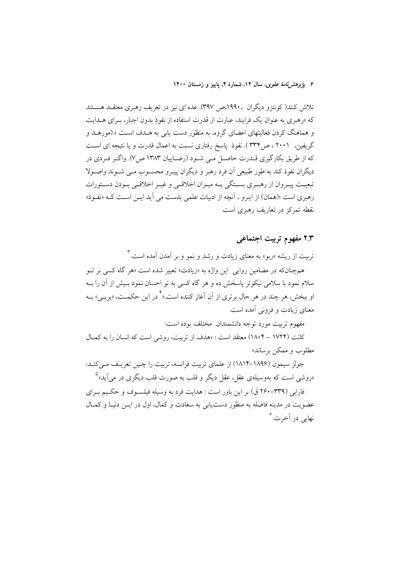۶ يژوهشرنامهٔ علوی، سال ۱۲، شمارهٔ ۲، پاييز و زمستان ۱۴۰۰

تلاش کنند(کونتزو دیگران ،۱۹۹۰،ص ۳۹۷). عده ای نیز در تعریف رهبری معتقـد هسـتند که «رهبری به عنوان یک فرایند، عبارت از قدرت استفاده از نفوذ بدون اجبار، به ای هـدابت و هماهنگ کردن فعالیتهای اعضای گروه، به منظور دست پایی به هــدف اســت ».(مورهــد و گریفین، ۲۰۰۱ ، ص۳۳۴). نفوذ پاسخ رفتاری نسبت به اعمال قدرت و یا نتیجه ای است که از طریق بکارگیری قــدرت حاصــل مــی شــود (رضــاییان ۱۳۸۳ ص/۷). واگـر فـردی در دیگران نفوذ کند به طور طبیعی آن فرد رهبر و دیگران پیـرو محســوب مــی شــوند واصــولا تبعیت پیـروان از رهبـري بسـتگي بــه ميـزان اخلاقــي و غيـر اخلاقــي بـودن دسـتورات رهبری است ؛(همان) از اینرو ، آنچه از ادبیات علمی بدست می آید ایــن اســت کــه «نفــوذ» نقطه تمرکز در تعاریف رهبری است.

# ۲.۳ مفهوم تربیت اجتماعی

تربیت از ریشه «ربو» به معنای زیادت و رشد و نمو و بر آمدن آمده است.<sup>۳</sup>

همچنانکه در مضامین روایی این واژه به «زیادت» تعبیر شده است «هر گاه کسی بر تــو سلام نمود با سلامی نیکوتر پاسخش ده و هر گاه کسی به تو احسان نمود بـیش از آن را بــه او ببخش، هر چند در هر حال برتری از آن آغاز کننده است.»<sup>۲</sup> در این حکمــت، «یربــ<sub>ی</sub>» بــه معنای زیادت و فزونی آمده است.

مفهوم تربيت مورد توجه دانشمندان مختلف بوده است:

کانت (۱۷۲۴ – ۱۸۰۴) معتقد است : «هدف از تربیت، روشی است که انسان را به کمـال مطلوب و ممکن برساند»

جولز سیمون (۱۸۹۶–۱۸۱۴) از علمای تربیت فرانسه، تربیت را چنین تعریف می کنـد: «روشی است که بهوسیلهی عقل، عقل دیگر و قلب به صورت قلب دیگری در می آید»

فارایی (۳۳۹-۲۶۰ ق) بر این باور است : هدایت فرد به وسیله فیلسیوف و حکیم پیرای عضویت در مدینه فاضله به منظور دست یابی به سعادت و کمال، اول در ایــن دنیـا و کمـال نھای<sub>ے</sub> در آخرت. گ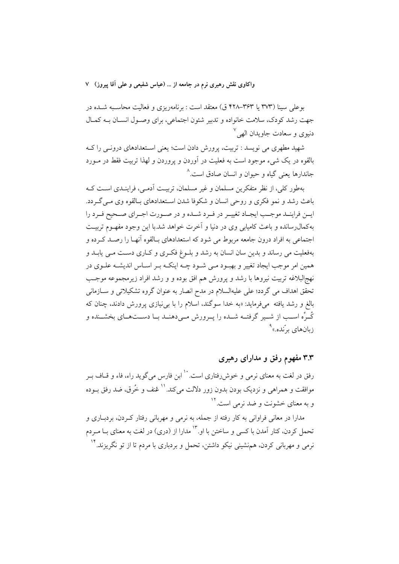بوعلي سينا (٣٧٣ يا ٣۶٣–٢٢٨ ق) معتقد است : برنامهريزي و فعاليت محاسـبه شـده در جهت رشد كودك، سلامت خانواده و تدبير شئون اجتماعي، براي وصـول انسـان بـه كمـال دنيوي و سعادت جاويدان الهي<sup>۷</sup>

شهید مطهری می نویسد : تربیت، پرورش دادن است؛ یعنی اسـتعدادهای درونـی را کـه بالقوه در یک شیء موجود است به فعلیت در آوردن و پروردن و لهذا تربیت فقط در مــورد جاندارها یعنی گیاه و حیوان و انسان صادق است.<sup>^</sup>

بهطور كلي، از نظر متفكرين مسلمان و غير مسلمان، تربيت آدمـي، فراينـدي اسـت كــه باعث رشد و نمو فکری و روحی انسان و شکوفا شدن اسـتعدادهای بـالقوه وی مـی گـردد. ايــن فراينــد موجــب ايجـاد تغييـر در فــرد شــده و در صــورت اجــراي صــحيح فــرد را به کمال رسانده و باعث کامیابی وی در دنیا و آخرت خواهد شد.با این وجود مفهـوم تربیـت اجتماعی به افراد درون جامعه مربوط می شود که استعدادهای بیالقوه آنهیا را رصید که ده و بهفعلیت می رساند و بدین سان انسان به رشد و بلـوغ فکـری و کـاری دسـت مـی پابـد و همین امر موجب ایجاد تغییر و بهبـود مـی شـود چـه اینکـه بـر اسـاس اندیشـه علـوی در نهج للبلاغه تربيت نيروها با رشد و يرورش هم افق بوده و و رشد افراد زيرمجموعه موجـب تحقق اهداف می گردد؛ علی علیهالسلام در مدح انصار به عنوان گروه تشکیلاتی و سـازمانی بالغ و رشد یافته میفرماید: «به خدا سوگند، اسلام را با بی نیازی پرورش دادند، چنان که كُـرِّه اســب از شــير گرفتــه شــده را پــرورش مــىدهنــد بــا دســتهــاي بخشــنده و زبانهای برّنده.»<sup>۹</sup>

# ۳.۳ مفهوم رفق و مدارای رهبری

رفق در لغت به معنای نرمی و خوش رفتاری است. `` ابن فارس می گوید راء، فاء و قــاف بــر موافقت و همراهی و نزدیک بودن بدون زور دلالت میکند.<sup>۱۱</sup> عُنف و خُرق، ضد رفق بــوده و به معنای خشونت و ضد نرمی است.<sup>۱۲</sup>

مدارا در معانی فراوانی به کار رفته از جمله، به نرمی و مهربانی رفتار کـردن، بردبــاری و تحمل کردن، کنار آمدن با کسی و ساختن با او. ``` مدارا از (دری) در لغت به معنای بــا مــردم نرمی و مهربانی کردن، همهنشینی نیکو داشتن، تحمل و بردباری با مردم تا از تو نگریزند. ``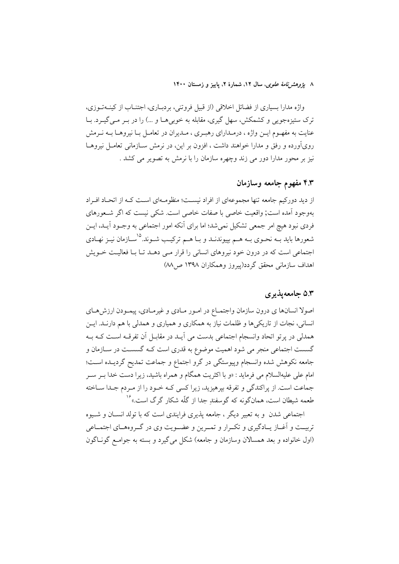۸ ي*ژوهشرنامهٔ علوی*، سال ۱۲، شمارهٔ ۲، پاييز و زمستان ۱۴۰۰

واژه مدارا بسیاری از فضائل اخلاقی (از قبیل فروتنی، بردبـاری، اجتنــاب از کینــهتــوزی، ترک ستیزهجویی و کشمکش، سهل گیری، مقابله به خوبی هـا و …) را در بـر مــی گیــرد. بــا عنایت به مفهـوم ایــن واژه ، درمــدارای رهبـری ، مــدیران در تعامــل بــا نیروهــا بــه نــرمش رویآورده و رفق و مدارا خواهند داشت ، افزون بر این، در نرمش سـازمانی تعامـل نیروهـا نیز بر محور مدارا دور می زند وچهره سازمان را با نرمش به تصویر می کشد .

## ۴.۳ مفهوم جامعه وسازمان

از دید دورکیم جامعه تنها مجموعهای از افراد نیسـت؛ منظومـهای اسـت کـه از اتحـاد افـراد بهوجود آمده است; واقعیت خاصی با صفات خاصی است. شکی نیست که اگر شـعورهای فردی نبود هیچ امر جمعی تشکیل نمیشد؛ اما برای آنکه امور اجتماعی به وجـود آیــد، ایــن شعورها باید بــه نحــوی بــه هــم بپیوندنــد و بــا هــم ترکیــب شــوند.<sup>۱۵</sup>ســازمان نیــز نهــادی اجتماعی است که در درون خود نیروهای انسانی را قرار مبی دهـد تـا بـا فعالیـت خــویش اهداف سازمانی محقق گردد(پیروز وهمکاران ۱۳۹۸ ص۸۸)

### ۵.۳ جامعه پذیری

اصولا انسانها ي درون سازمان واجتمـاع در امـور مـادي و غيرمـادي، پيمـودن ارزش،هـاي انسانی، نجات از تاریکی ها و ظلمات نیاز به همکاری و همیاری و همدلی با هم دارنـد. ایــن همدلي در يرتو اتحاد وانسجام اجتماعي بدست مي أيـد در مقابـل أن تفرقـه اسـت كـه بـه گسست اجتماعی منجر می شود اهمیت موضوع به قدری است کـه گسســت در ســازمان و جامعه نكوهش شده وانسجام وييوستگي در گرو اجتماع و جماعت تمديح گرديـده اسـت؛ امام علی علیهالسلام می فرماید : «و با اکثریت همگام و همراه باشید، زیرا دست خدا بــر ســر جماعت است. از پراکندگی و تفرقه بپرهیزید، زیرا کسی کـه خـود را از مـردم جـدا سـاخته طعمه شیطان است، همانگونه که گوسفندِ جدا از گلّه شکار گرگ است.»<sup>۱۶</sup>

اجتماعی شدن و به تعبیر دیگر ، جامعه پذیری فرایندی است که با تولد انسـان و شـیوه تربیـت و اَغــاز یــادگیری و تکــرار و تمــرین و عضــویت وی در گــروههــای اجتمــاعی (اول خانواده و بعد همسالان وسازمان و جامعه) شکل میگیرد و بسته به جوامع گونـاگون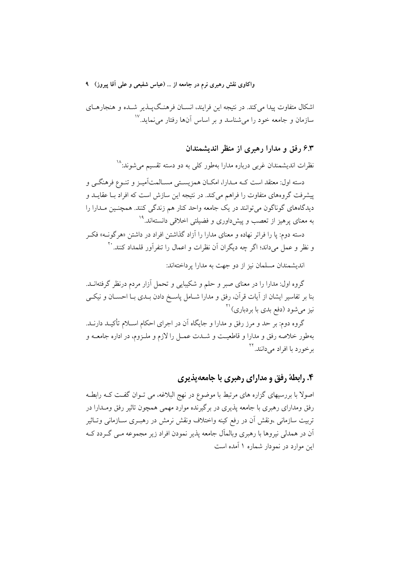اشکال متفاوت پیدا میکند. در نتیجه این فرایند، انسـان فرهنـگپـذیر شـده و هنجارهـای سازمان و جامعه خود را می شناسد و بر اساس آنها رفتار می نماید.<sup>۱۷</sup>

#### ۶.۳ رفق و مدارا رهبری از منظر اندیشمندان

نظرات اندیشمندان غربی درباره مدارا بهطور کل<sub>ی</sub> به دو دسته تقسیم میشوند:<sup>۱۸</sup> دسته اول: معتقد است کـه مـدارا، امکـان همزیسـتی مسـالمتآمیـز و تنــوع فرهنگــی و پیشرفت گروههای متفاوت را فراهم می کند. در نتیجه این سازش است که افراد بـا عقایــد و دیدگاههای گوناگون میتوانند در یک جامعه واحد کنار هم زندگی کنند. همچنـین مــدارا را به معنای یرهیز از تعصب و ییشداوری و فضیلتی اخلاقی دانستهاند.<sup>۱۹</sup>

دسته دوم: یا را فراتر نهاده و معنای مدارا را آزاد گذاشتن افراد در داشتن «هرگونــه» فکــر و نظر و عمل مي داند؛ اگر چه ديگران آن نظرات و اعمال را تنفرآور قلمداد كنند. ``

اندیشمندان مسلمان نیز از دو جهت به مدارا یرداختهاند:

گروه اول: مدارا را در معنای صبر و حلم و شکیبایی و تحمل آزار مردم درنظر گرفتهانــد. بنا بر تفاسیر ایشان از آیات قرآن، رفق و مدارا شــامل پاسـخ دادن بــدی بــا احســان و نیکــی نیز می شود (دفع بدی با بردباری)<sup>۲۱</sup>

گروه دوم: بر حد و مرز رفق و مدارا و جایگاه آن در اجرای احکام اسـلام تأکیــد دارنــد. بهطور خلاصه رفق و مدارا و قاطعیت و شـدت عمـل را لازم و ملـزوم، در اداره جامعــه و برخورد با افراد مے دانند. <sup>۲۲</sup>

#### ۴. رابطهٔ رفق و مدارای رهبری با جامعهپذیری

اصولاً با بررسیهای گزاره های مرتبط با موضوع در نهج البلاغه، می تـوان گفـت کـه رابطـه رفق ومدارای رهبری با جامعه پذیری در برگیرنده موارد مهمی همچون تاثیر رفق ومــدارا در تربيت سازماني ،ونقش اّن در رفع كينه واختلاف ونقش نرمش در رهبــرى ســازماني وتــاثير ان در همدلی نیروها با رهبری وبالمال جامعه پذیر نمودن افراد زیر مجموعه مــی گــردد کــه این موارد در نمودار شماره ۱ آمده است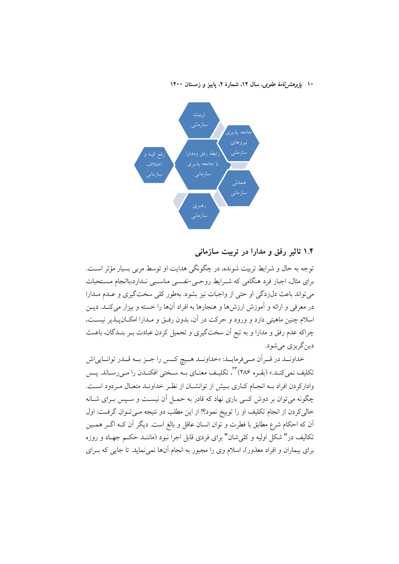۱۰ یژ*وهشرنامهٔ علوی*، سال ۱۲، شمارهٔ ۲، پاییز و زمستان ۱۴۰۰



#### ۱.۴ تاثیر رفق و مدارا در تربیت سازمانی

توجه به حال و شرایط تربیت شونده، در چگونگی هدایت او توسط مربی بسیار مؤثر اسـت. برای مثال، اجبار فرد هنگامی که شـرایط روحـی-نفســی مناسـبی نــدارد،باانجام مسـتحبات می تواند باعث دل(دگی او حتی از واجبات نیز بشود. بهطور کلی سخت گیری و عـدم مـدارا در معرفی و ارائه و آموزش ارزش ها و هنجارها به افراد آنها را خسته و بیزار می کنـد. دیــن اسلام چنین ماهیتی دارد و ورود و حرکت در آن، بدون رفتی و مـدارا امکــانپــذیر نیســت، چراکه عدم رفق و مدارا و به تبع آن سختگیری و تحمیل کردن عبادت بـر بنــدگان، باعــث دين گريزي مي شود.

خداونـد در قـران مـىفرمايـد: «خداونـد هـيچ كـس را جـز بـه قـدر توانـايىاش تکلیف نمی کنـد.» (بقـره ۲۸۶) ۳، تکلیـف معنـای بــه سـختی افکنـدن را مـیرسـاند. پــس وادارکردن افراد بـه انجـام کـاری بـیش از توانشـان از نظـر خداونـد متعـال مـردود اسـت. چگونه می توان بر دوش کسی باری نهاد که قادر به حمــل آن نیســت و ســیس بــرای شــانه خالی کردن از انجام تکلیف او را توبیخ نمود؟! از این مطلب دو نتیجه مـیتـوان گرفـت: اول آن که احکام شرع مطابق با فطرت و توان انسان عاقل و بالغ است. دیگر آن کـه اگــر همــین تکالیف در" شکل اولیه و کلی شان" برای فردی قابل اجرا نبود (ماننـد حکـم جهـاد و روزه برای بیماران و افراد معذور)، اسلام وی را مجبور به انجام آنها نمی نماید. تا جایی که بـرای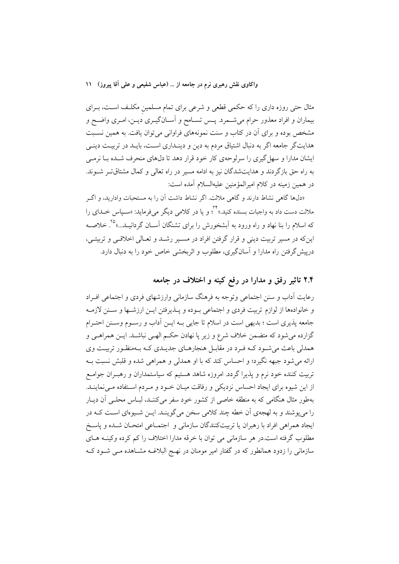مثال حتی روزه داری را که حکمی قطعی و شرعی برای تمام مسلمین مکلـف اسـت، بــرای بیماران و افراد معذور حرام میشـمرد. پـس تسـامح و آسـانگیـری دیـن، امـری واضـح و مشخص بوده و برای آن در کتاب و سنت نمونههای فراوانی می توان یافت. به همین نسـبت هدایتگر جامعه اگر به دنبال اشتیاق مردم به دین و دینـداری اسـت، بایـد در تربیـت دینـی ایشان مدارا و سهل گیری را سرلوحهی کار خود قرار دهد تا دلهای منحرف شـده بـا نرمـی به راه حق بازگردند و هدایتشدگان نیز به ادامه مسیر در راه تعالی و کمال مشتاقتر شوند. در همين زمينه در كلام اميرالمؤمنين عليهالسلام آمده است:

«دلها گاهی نشاط دارند و گاهی ملالت. اگر نشاط داشت آن را به مستحبات وادارید، و اگر ملالت دست داد به واجبات بسنده کنید.» <sup>۲۲</sup> و یا در کلامی دیگر میفرماید: «سـیاس خــدای را که اسلام را بنا نهاد و راه ورود به اَبشخورش را برای تشنگان اَســان گردانیــد...»° . خلاصــه این که در مسیر تربیت دینی و قرار گرفتن افراد در مسیر رشید و تعیالی اخلاقیی و تربیتی، درییش گرفتن راه مدارا و آسانگیری، مطلوب و اثربخشی خاص خود را به دنبال دارد.

# ۲.۴ تاثیر رفق و مدارا در رفع کینه و اختلاف در جامعه

رعایت آداب و سنن اجتماعی وتوجه به فرهنگ سازمانی وارزشهای فردی و اجتماعی افـراد و خانوادهها از لوازم تربیت فردی و اجتماعی بـوده و پــذیرفتن ایــن ارزشــها و ســنن لازمــه جامعه پذیری است ؛ بدیهی است در اسلام تا جایی بـه ایــن اَداب و رســوم وســنن احتــرام گزارده میشود که متضمن خلاف شرع و زیر پا نهادن حکـم الهـی نباشــد. ایــن همراهـی و همدلی باعث می شود کـه فـرد در مقابـل هنجارهـای جدیـدی کـه بـهمنظـور تربیـت وی ارائه می شود جبهه نگیرد؛ و احساس کند که با او همدلی و همراهی شده و قلبش نسبت بـه تربیت کننده خود نرم و پذیرا گردد. امروزه شاهد هستیم که سیاستمداران و رهبـران جوامـع از این شیوه برای ایجاد احساس نزدیکی و رفاقت میـان خـود و مـردم اسـتفاده مـینماینــد. بهطور مثال هنگامی که به منطقه خاصی از کشور خود سفر میکننـد، لبـاس محلـی آن دیـار را می پوشند و به لهجهی آن خطه چند کلامی سخن میگوینـد. ایــن شــیوهای اسـت کــه در ايجاد همراهي افراد با رهبران يا تربيتكنندگان سازماني و اجتمـاعي امتحـان شـده و پاسـخ مطلوب گرفته است.در هر سازمانی می توان با خرقه مدارا اختلاف را کم کرده وکینـه هـای سازمانی را زدود همانطور که در گفتار امیر مومنان در نهـج البلاغــه مشــاهده مــی شــود کــه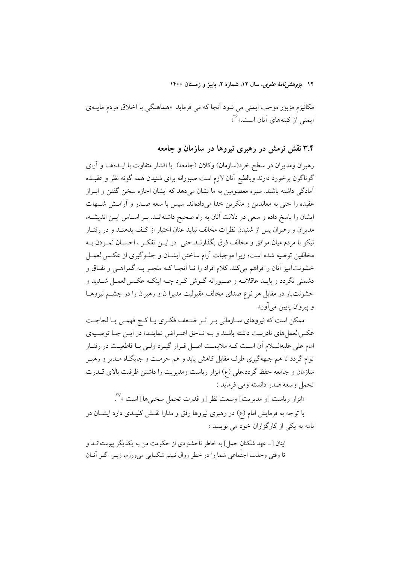۱۲ *یژوهشرنامهٔ علوی*، سال ۱۲، شمارهٔ ۲، پاییز و زمستان ۱۴۰۰

مکانیزم مزبور موجب ایمنی می شود آنجا که می فرماید «هماهنگی با اخلاق مردم مایــهی ایمنی از کینههای آنان است.»۲<sup>۶</sup>

## ۳.۴ نقش نرمش در رهبری نیروها در سازمان و جامعه

رهبران ومديران در سطح خرد(سازمان) وكلان (جامعه) با اقشار متفاوت با ايــدههــا و آراى گوناگون برخورد دارند وبالطبع آنان لازم است صبورانه برای شنیدن همه گونه نظر و عقیــده ۔<br>آمادگی داشته باشند. سیرہ معصومین به ما نشان می دهد که ایشان اجازه سخن گفتن و ابـراز عقیده را حتی به معاندین و منکرین خدا میدادهاند. سیس با سعه صـدر و آرامــش شــبهات ایشان را پاسخ داده و سعی در دلالت آنان به راه صحیح داشتهانــد. بــر اســاس ایــن اندیشــه، مدیران و رهبران پس از شنیدن نظرات مخالف نباید عنان اختیار از کـف بدهنـد و در رفتـار نيكو با مردم ميان موافق و مخالف فرق بگذارنــد.حتى در ايــن تفكــر ، احســان نمــودن بــه مخالفین توصیه شده است؛ زیرا موجبات آرام ساختن ایشـان و جلـوگیری از عکـس|لعمـل خشونتآمیز آنان را فراهم میکند. کلام افراد را تـا آنجـا کـه منجـر بـه گمراهـی و نفـاق و دشمني نگردد و بايـد عاقلانــه و صــبورانه گــوش كــرد چــه اينكــه عكــسالعمــل شــديد و خشونتبار در مقابل هر نوع صدای مخالف مقبولیت مدیرا ن و رهبران را در چشــم نیروهــا و پیروان پایین میآورد.

ممکن است که نیروهای سـازمانی بـر اثـر ضـعف فکـری یـا کـج فهمـی یـا لجاجـت عکسالعمل های نادرست داشته باشند و بـه نـاحق اعتـراض نماینـد؛ در ایـن جـا توصـیهی امام علی علیهالسلام آن است کـه ملایمـت اصـل قـرار گیـرد ولـی بـا قاطعیـت در رفتـار توام گردد تا هم جبههگیری طرف مقابل کاهش یابد و هم حرمت و جایگـاه مــدیر و رهبــر سازمان و جامعه حفظ گردد.علی (ع) ابزار ریاست ومدیریت را داشتن ظرفیت بالای قـــدرت تحمل وسعه صدر دانسته ومي فرمايد :

«ابزار رياست [و مديريت] وسعت نظر [و قدرت تحمل سختي،ها] است »<sup>۲۷</sup>. با توجه به فرمایش امام (ع) در رهبری نیروها رفق و مدارا نقــش کلیــدی دارد ایشــان در نامه به یکی از کارگزاران خود می نویسد :

اينان [= عهد شكنان جمل] به خاطر ناخشنودي از حكومت من به يكديگر پيوستهانــد و تا وقتی وحدت اجتَماعی شما را در خطر زوال نبینم شکیبایی میورزم، زیــرا اگــر آنــان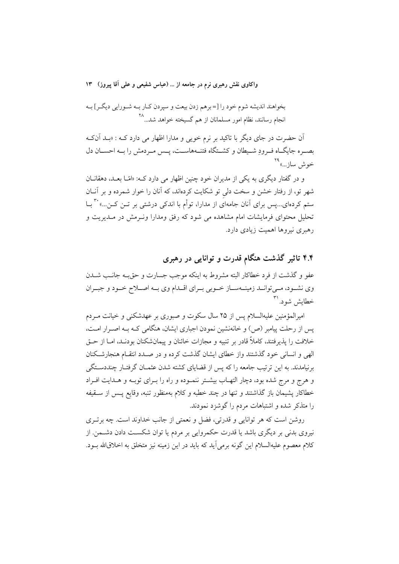بخواهند انديشه شوم خود را [= برهم زدن بيعت و سپردن كـار بـه شـورايي ديگـر] بـه انجام رسانند، نظام امور مسلمانان از هم گسیخته خواهد شد...<sup>۲۸</sup>

اّن حضرت در جای دیگر با تاکید بر نرم خویبی و مدارا اظهار می دارد کـه : «بــد اّنکـه بصـره جایگـاه فـرودِ شـیطان و کشــتگاه فتنــههاســت، پــس مـردمش را بــه احســان دل خوش ساز…»<sup>۲۹</sup>

و در گفتار دیگری به یکی از مدیران خود چنین اظهار می دارد که: «امّـا بعـد، دهقانــان شهر تو، از رفتار خشن و سخت دلی تو شکایت کردهاند، که آنان را خوار شمرده و بر آنــان ستم کردهای…پس برای آنان جامهای از مدارا، توأم با اندکی درشتی بر تــن کــن…» `` بــا تحلیل محتوای فرمایشات امام مشاهده می شود که رفق ومدارا ونـرمش در مـدیریت و رهبری نیروها اهمیت زیادی دارد.

۴.۴ تاثیر گذشت هنگام قدرت و توانایی در رهبری

عفو و گذشت از فرد خطاکار البته مشروط به اینکه موجب جسارت و حق به جانـب شــدن وي نشـود، مـي توانـد زمينــهسـاز خـوبي بـراي اقـدام وي بــه اصــلاح خـود و جبـران خطایش شود. ``

امیرالمؤمنین علیهالسلام پس از ۲۵ سال سکوت و صبوری بر عهدشکنی و خیانت مـردم پس از رحلت پیامبر (ص) و خانهنشین نمودن اجباری ایشان، هنگامی کـه بـه اصـرار امـت، خلافت را پذیرفتند، کاملاً قادر بر تنبیه و مجازات خائنان و پیمانشکنان بودنـد، امــا از حــق الهی و انسانی خود گذشتند واز خطای ایشان گذشت کرده و در صـدد انتقـام هنجارشـکنان برنیامدند. به این ترتیب جامعه را که پس از قضایای کشته شدن عثمــان گرفتــار چنددســتگی و هرج و مرج شده بود، دچار التهـاب بیشـتر ننمـوده و راه را بـرای توبـه و هـدایت افـراد خطاکار پشیمان باز گذاشتند و تنها در چند خطبه و کلام بهمنظور تنبه، وقایع پس از ستقیفه را متذکر شده و اشتباهات مردم را گوشزد نمودند.

روشن است که هر توانایی و قدرتی، فضل و نعمتی از جانب خداوند است. چه برتــری نیروی بدنی بر دیگری باشد یا قدرت حکمروایی بر مردم یا توان شکست دادن دشــمن. از كلام معصوم عليهالسلام اين گونه برمي]يد كه بايد در اين زمينه نيز متخلق به اخلاق\لله بــود.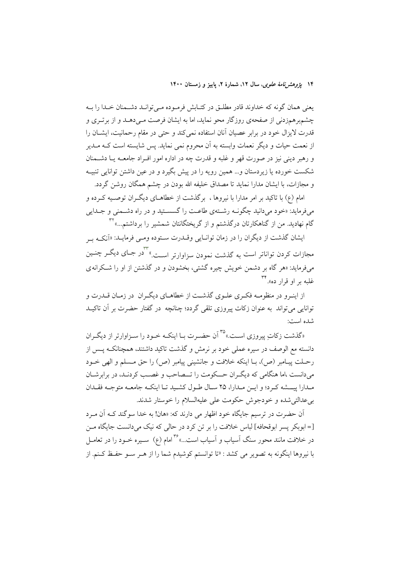۱۴ پژ*وهشرنامهٔ علوی*، سال ۱۲، شمارهٔ ۲، پاییز و زمستان ۱۴۰۰

یعنی همان گونه که خداوند قادر مطلـق در کتـابش فرمـوده مـیتوانـد دشـمنان خـدا را بـه چشمبرهمزدنی از صفحهی روزگار محو نماید، اما به ایشان فرصت مـیدهـد و از برتـری و قدرت لایزال خود در برابر عصیان آنان استفاده نمی کند و حتی در مقام رحمانیت، ایشـان را از نعمت حیات و دیگر نعمات وابسته به آن محروم نمی نماید. پس شایسته است کـه مــدیر و رهبر دينې نيز در صورت قهر و غلبه و قدرت چه در اداره امور افـراد جامعــه يــا دشــمنان شکست خورده یا زیردستان و… همین رویه را در پیش بگیرد و در عین داشتن توانایی تنبیــه و مجازات، با ایشان مدارا نماید تا مصداق خلیفه الله بودن در چشم همگان روشن گردد.

امام (ع) با تاکید بر امر مدارا با نیروها ، برگذشت از خطاهـای دیگــران توصــیه کــرده و میفرماید: «خود میدانید چگونــه رشــتهی طاعــت را گسســتید و در راه دشــمنی و جــدایی گام نهادید. من از گناهکارتان درگذشتم و از گریختگانتان شمشیر را برداشتم...» ۳۲

ایشان گذشت از دیگران را در زمان توانـایی وقــدرت ســتوده ومــی فرمایــد: «اَنکــه ب مجازات کردن تواناتر است به گذشت نمودن سزاوارتر اســت."<sup>۳</sup>در جـای دیگــر چنــین می فرماید: «هر گاه بر دشمن خویش چیره گشتی، بخشودن و در گذشتن از او را شکرانه ی غلبه بر او قرار ده».

از اینـرو در منظومـه فكـرى علـوى گذشـت از خطاهـاى دیگـران در زمـان قــدرت و توانایی می تواند به عنوان زکات پیروزی تلقی گردد؛ چنانچه در گفتار حضرت بر آن تاکیــد شده است:

«گذشت زکات پیروزی است.» ٌ<sup>۳۵</sup> آن حضـرت بــا اینکــه خــود را ســزاوارتر از دیگــران دانسته مع الوصف در سیره عملی خود بر نرمش و گذشت تاکید داشتند، همچنانکـه یــس از رحـلت پيـامبر (ص)، بـا اينكه خلافت و جانشيني پيامبر (ص) را حق مـسلم و الهي خــود می دانست ،اما هنگامی که دیگران حــکومت را تــصاحب و غصـب کردنـد، در برابرشــان مـدارا پيـــشه كـرد؛ و ايــن مـدارا، ٢٥ سـال طــول كشـيد تـا اينكــه جامعــه متوجــه فقــدان بی عدالتی شده و خودجوش حکومت علی علیهالسلام را خوستار شدند.

اّن حضرت در ترسیم جایگاه خود اظهار می دارند که: «هان! به خدا سوگند کــه اَن مــرد [= ابوبکر پسر ابوقحافه] لباس خلافت را بر تن کرد در حالی که نیک میدانست جایگاه مــن در خلافت مانند محور سنگ آسیاب و آسیاب است…»<sup>۳۶</sup>امام (ع) سـیره خــود را در تعامــل با نیروها اینگونه به تصویر می کشد : «تا توانستم کوشیدم شما را از هـر سـو حفـظ کـنم. از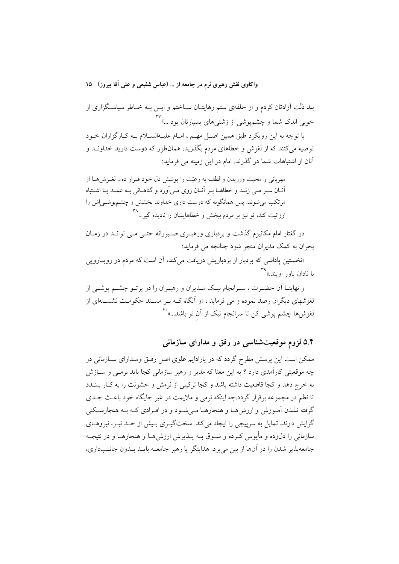بند ذَلَت اَزادتان کردم و از حلقهی ستم رهایتـان ســاختم و ایــن بــه خــاطر سپاسـگزاری از ۔<br>خوبی اندک شما و چشمپوشی از زشتیهای بسیارتان بود …"

با توجه به این رویکرد طبق همین اصـل مهـم ، امـام علیـهالسـلام بـه کـارگزاران خـود توصیه میکنند که از لغزش و خطاهای مردم بگذرید، همانطور که دوست دارید خداونـد و آنان از اشتباهات شما در گذرند. امام در این زمینه می فرماید:

مهربانی و محبت ورزیدن و لطف به رعیّت را پوشش دل خود قـرار ده... لغـزش هـا از آنــان ســر مــي زنــد و خطاهــا بــر آنــان روى مــي أورد و گناهــاني بــه عمــد يــا اشــتباه مرتکب میشوند. پس همانگونه که دوست داری خداوند بخشش و چشمپوشــیاش را ارزانیت کند، تو نیز بر مردم ببخش و خطاهایشان را نادیده گیر…<sup>۳۸</sup>

در گفتار امام مکانیزم گذشت و بردباری ورهبـری صـبورانه حتـبی مـبی توانــد در زمــان بحران به کمک مدیران منجر شود چنانچه می فرماید:

«نخستین یاداشی که بردبار از بردباریش دریافت میکند، آن است که مردم در رویـارویی با نادان باور اويند.»

و نهایتـا اَن حضـرت ، سـرانجام نیـک مـدیران و رهبـران را در پرتـو چشــم پوشــی از لغزشهای دیگران رصد نموده و می فرماید : «و اَنگاه کــه بــر مســند حکومــت نشســتهای از لغزشها چشم پوشی کن تا سرانجام نیک از آن تو باشد...» <sup>۴۰</sup>

۵.۴ لزوم موقعیتشناسی در رفق و مدارای سازمانی

ممکن است این پرسش مطرح گردد که در پارادایم علوی اصل رفتی ومـدارای سـازمانی در چه موقعیتی کارآمدی دارد ؟ به این معنا که مدیر و رهبر سازمانی کجا باید نرمـی و ســازش به خرج دهد و كجا قاطعيت داشته باشد و كجا تركيبي از نرمش و خشونت را به كبار ببنيدد تا نظم در مجموعه برقرار گردد.چه اینکه نرمی و ملایمت در غیر جایگاه خود باعث جـلـی گرفته نشدن آمـوزش و ارزش،هـا و هنجارهـا مـی شـود و در افـرادی کـه بـه هنجارشـکنی گرایش دارند، تمایل به سرپیچی را ایجاد میکند. سختگیری بیش از حـد نیـز، نیروهـای سازمانی را دل;ده و مأبوس کے ده و شـوق بـه پــذبرش ارزش هــا و هنجارهــا و در نتيجـه جامعه پذیر شدن را در آنها از بین می برد. هدایتگر یا رهبر جامعــه بایــد بــدون جانــبداری،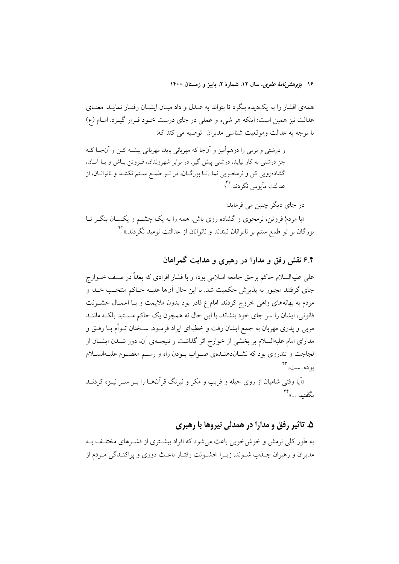۱۶ ی*ژوهش نامهٔ علوی*، سال ۱۲، شمارهٔ ۲، پاییز و زمستان ۱۴۰۰

همهی اقشار را به یکدیده بنگرد تا بتواند به عـدل و داد میـان ایشـان رفتـار نمایـد. معنـای عدالت نیز همین است؛ اینکه هر شیء و عملی در جای درست خـود قـرار گیـرد. امـام (ع) با توجه به عدالت وموقعیت شناسی مدیران توصیه می کند که:

و درشتی و نرمی را درهمآمیز و آنجا که مهربانی باید، مهربانی پیشـه کــن و آنجـا کــه جز درشتی به کار نیاید، درشتی پیش گیر. در برابر شهروندان، فـروتن بـاش و بــا آنــان، گشادهرویی کن و نرمخـویی نما...تــا بزرگــان، در تــو طمـع ســتم نکننــد و ناتوانــان، از عدالتت مأيوس نگردند. '؟

در جای دیگر چنین می فرماید: «با مردمْ فروتن، نرمخوی و گشاده روی باش همه را به یک چشــم و یکســان بنگــر تــا بزرگان بر تو طمع ستم بر ناتوانان نبندند و ناتوانان از عدالتت نومید نگردند.»<sup>۴۲</sup>

۶.۴ نقش رفق و مدارا در رهبری و هدایت گمراهان

علی علیهالسلام حاکم برحق جامعه اسلامی بود؛ و با فشار افرادی که بعداً در صـف خــوارج جاي گرفتند مجبور به پذيرش حكميت شد. با اين حال آنها عليـه حــاكم منتخـب خــدا و مردم به بهانههای واهی خروج کردند. امام ع قادر بود بدون ملایمت و بـا اعمـال خشــونت قانونی، ایشان را سر جای خود بنشاند، با این حال نه همچون یک حاکم مسـتبد بلکـه ماننــد مربی و یدری مهربان به جمع ایشان رفت و خطبهای ایراد فرمــود. ســخنان تــوأم بــا رفــق و مدارای امام علیهالسلام بر بخشی از خوارج اثر گذاشت و نتیجـهی آن، دور شــدن ایشــان از لجاجت و تندروي بود كه نشــاندهنــدهي صــواب بــودن راه و رســم معصــوم عليــهالســـلام به **د**ه است.۳

«اَیا وقتی شامیان از روی حیله و فریب و مکر و نیرنگ قرآنهــا را بــر ســر نیــزه کردنــد نگفتىد …»

# ۵. تاثیر رفق و مدارا در همدلی نیروها با رهبری

به طور کلی نرمش و خوش خویی باعث می شود که افراد بیشتری از قشـرهای مختلـف بـه مدیران و رهبران جـذب شــوند. زیــرا خشــونت رفتــار باعــث دوری و پراکنــدگی مــردم از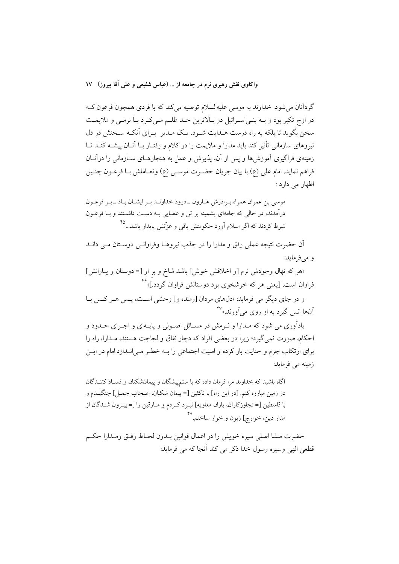گردآنان می شود. خداوند به موسی علیهالسلام توصیه میکند که با فردی همچون فرعون ک در اوج تکبر بود و بـه بنـی|سـرائيل در بـالاترين حـد ظلـم مـی کـرد بـا نرمـی و ملايمـت سخن بگوید تا بلکه به راه درست هـدایت شـود. یـک مـدیر بـرای اَنکـه سـخنش در دل نیروهای سازمانی تأثیر کند باید مدارا و ملایمت را در کلام و رفتـار بـا آنــان پیشــه کنــد تــا زمینهی فراگیری آموزش ها و پس از آن، پذیرش و عمل به هنجارهــای ســازمانی را درآنــان فراهم نمايد. امام علي (ع) با بيان جريان حضـرت موســي (ع) وتعــاملش بــا فرعــون چنــين اظهار می دارد :

موسی بن عمران همراه به ادرش هبارون ـ درود خداونـد بـر ایشـان بـاد ـ بـر فرعـون درآمدند، در حالی که جامهای پشمینه بر تن و عصایی بـه دسـت داشـتند و بـا فرعـون شرط کردند که اگر اسلام آورد حکومتش باقی و عزّتش پایدار باشد...<sup>۴۵</sup>

اّن حضرت نتیجه عملی رفق و مدارا را در جذب نیروهـا وفراوانــی دوســتان مــی دانــد و مىفرمايد:

«هر كه نهال وجودش نرم [و اخلاقش خوش] باشد شاخ و بر او [= دوستان و يـارانش] فراوان است. [یعنی هر که خوشخوی بود دوستانش فراوان گردد.]» <sup>۴۶</sup>

و در جای دیگر می فرماید: «دلهای مردان [رمنده و] وحشی اسـت، پـس هـر کـس بـا آنها انس گيرد به او روي ميآورند.»<sup>۴۷</sup>

یادآوری می شود که مـدارا و نـرمش در مســائل اصــولی و پایــهای و اجــرای حــدود و احکام، صورت نمي گيرد؛ زيرا در بعضي افراد که دچار نفاق و لجاجت هستند، مـدارا، راه را برای ارتکاب جرم و جنایت باز کرده و امنیت اجتماعی را بـه خطـر مـی|نــدازد.امام در ایــن زمينه مي فرمايد:

آگاه باشید که خداوند مرا فرمان داده که با ستمپیشگان و پیمانشکنان و فسـاد کننــدگان در زمین مبارزه کنم. [در این راه] با ناکثین [= پیمان شکنان، اصحاب جمـل] جنگیــدم و با قاسطین [= تجاوزکاران، یاران معاویه] نبـرد کـردم و مـارقین را [= بیـرون شـدگان از مدار دین، خوارج] زبون و خوار ساختم.<sup>۴۸</sup>

حضرت منشا اصلي سيره خويش را در اعمال قوانين بـدون لحـاظ رفـق ومـدارا حكـم قطعي الهي وسيره رسول خدا ذكر مي كند أنجا كه مي فرمايد: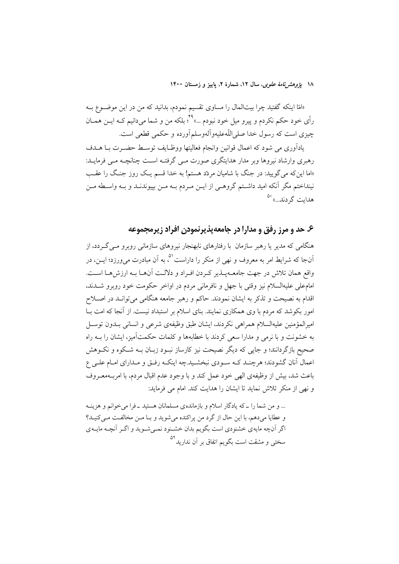۱۸ يژوهشرنامهٔ علوی، سال ۱۲، شمارهٔ ۲، پاييز و زمستان ۱۴۰۰

«امّا اینکه گفتید چرا بیتالمال را مساوی تقسیم نمودم، بدانید که من در این موضـوع بــه رأي خود حكم نكردم و پيرو ميل خود نبودم ...» ٌ؟ بلكه من و شما مي دانيم كـه ايــن همــان چیزی است که رسول خدا صلی اللّهعلیهوآلهوسلمآورده و حکمی قطعی است.

يادأوري مي شود كه اعمال قوانين وانجام فعاليتها ووظـايف توسـط حضـرت بــا هــدف رهبری وارشاد نیروها وبر مدار هدایتگری صورت مـی گرفتـه اسـت چنانچـه مـی فرمایـد: «اما این که می گویید: در جنگ با شامیان مردّد هستم! به خدا قسم یـک روز جنـگ را عقـب نینداختم مگر آنکه امید داشـتم گروهـی از ایــن مــردم بــه مــن بییوندنــد و بــه واســطه مــن هداىت گردند...» <sup>۵۰</sup>

#### ۶. حد و مرز رفق و مدارا در جامعه پذیرنمودن افراد زیرمجموعه

هنگامی که مدیر یا رهبر سازمان با رفتارهای نابهنجار نیروهای سازمانی روبرو مــی گــردد، از آنجا که شرایط امر به معروف و نهی از منکر را داراست <sup>۵</sup>، به آن مبادرت می,ورزد؛ ایــن، در واقع همان تلاش در جهت جامعـهپـذير كـردن افـراد و دلالـت آنهـا بـه ارزشهـا اسـت. امامءلي عليهالسلام نيز وقتي با جهل و نافرماني مردم در اواخر حكومت خود روبرو شــدند، اقدام به نصیحت و تذکر به ایشان نمودند. حاکم و رهبر جامعه هنگامی میتوانـد در اصـلاح امور بکوشد که مردم با وی همکاری نمایند. بنای اسلام بر استبداد نیست. از آنجا که امت بـا امیرالمؤمنین علیهالسلام همراهی نکردند، ایشان طبق وظیفهی شرعی و انسانی بـدون توسـل به خشونت و با نرمی و مدارا سعی کردند با خطابهها و کلمات حکمتآمیز، ایشان را بــه راه صحیح بازگردانند؛ و جایی که دیگر نصیحت نیز کارساز نبـود زبـان بــه شــکوه و نکــوهش اعمال آنان گشودند؛ هرچنـد کــه ســودی نبخشـید.چه اینکــه رفــق و مــدارای امــام علــی ع باعث شد، بیش از وظیفهی الهی خود عمل کند و با وجود عدم اقبال مردم، با امربــهمعــروف و نهی از منکر تلاش نماید تا ایشان را هدایت کند. امام می فرماید:

... و من شما را ـ كه يادگار اسلام و بازماندهى مسلمانان هستيد ـ فرا مى خوانم و هزينـه و عطایا میدهم، با این حال از گرد من پراکنده میشوید و بـا مـن مخالفـت مـیکنیـد؟ اگر آنچه مایهی خشنودی است بگویم بدان خشـنود نمـیشـوید و اگـر آنچـه مایـهی سختی و مشقت است بگویم اتفاق بر آن ندارید<sup>۵۲</sup>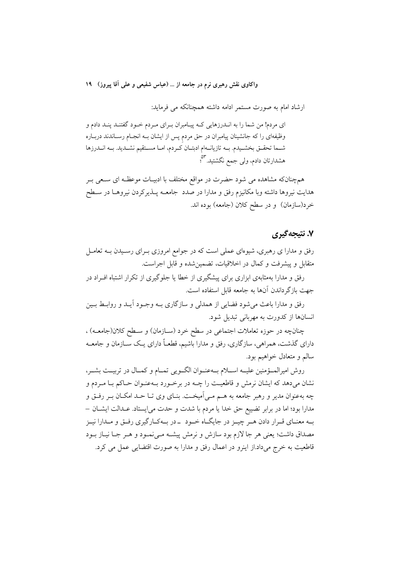ارشاد امام به صورت مستمر ادامه داشته همچنانکه می فرماید:

ای مردم! من شما را به انــدرزهایی کــه پیــامبران بــرای مــردم خــود گفتنــد پنــد دادم و وظیفهای را که جانشینان پیامبران در حق مردم پس از ایشان بــه انجــام رســاندند دربــاره شـما تحقـق بخشـيدم. بــه تازيانــهام ادبتــان كـردم، امــا مســتقيم نشــديد. بــه انــدرزها هشدارتان دادم، ول<sub>ی</sub> جمع نگشتید.<sup>۵۳</sup>؛

همچنانکه مشاهده می شود حضرت در مواقع مختلف با ادبیـات موعظـه ای سـعی بـر هدایت نیروها داشته وبا مکانیزم رفق و مدارا در صدد جامعــه پــذیرکردن نیروهــا در ســطح خرد(سازمان) و در سطح کلان (جامعه) بوده اند.

#### ۷. نتيجه گيري

رفق و مدارا ی رهبری، شیوهای عملی است که در جوامع امروزی بـرای رسـیدن بــه تعامــل متقابل و پیشرفت و کمال در اخلاقیات، تضمین شده و قابل اجراست.

رفق و مدارا بهمثابهی ابزاری برای پیشگیری از خطا یا جلوگیری از تکرار اشتباه افـراد در جهت بازگر داندن آنها به جامعه قابل استفاده است.

رفق و مدارا باعث می شود فضایی از همدلی و سازگاری بـه وجـود آیــد و روابــط بــین انسانها از کدورت به مهربانی تبدیل شود.

چنانچه در حوزه تعاملات اجتماعی در سطح خرد (ســازمان) و ســطح کلان(جامعــه) ، دارای گذشت، همراهی، سازگاری، رفق و مدارا باشیم، قطعـاً دارای یـک ســازمان و جامعــه سالم و متعادل خواهیم بود.

روش امیرالمــؤمنین علیــه اســلام بــهعنــوان الگــویی تمــام و کمــال در تربیــت بشــر، نشان میدهد که ایشان نرمش و قاطعیت را چـه در برخـورد بـهعنـوان حـاکم بـا مـردم و چه بهعنوان مدیر و رهبر جامعه به هــم مــی|میخــت. بنــای وی تــا حــد امکــان بــر رفــق و مدارا بود؛ اما در برابر تضييع حق خدا يا مردم با شدت و حدت مي!يستاد. عـدالت ايشـان – بـه معنـاي قـرار دادن هـر چيـز در جايگــاه خــود ــ در بــهكــارگيري رفــق و مــدارا نيــز مصداق داشت؛ یعنی هر جا لازم بود سازش و نرمش پیشـه مـیiمـود و هـر جـا نیـاز بـود قاطعیت به خرج میداد.از اینرو در اعمال رفق و مدارا به صورت اقتضایی عمل می کرد.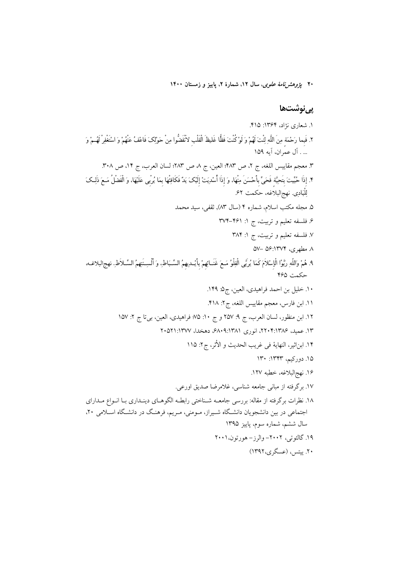۲۰ *پژوهش نامهٔ علوی*، سال ۱۲، شمارهٔ ۲، یاییز و زمستان ۱۴۰۰

# پ*ی ن*وشتھا

۱. شعاری نژاد، ۱۳۶۴: ۴۱۵. ٢. فَبما رَحْمَة مِنَ اللَّهِ لِنْتَ لَهُمْ وَ لَوْ كُنْتَ فَظًّا غَليظَ الْقَلْبِ لاَنْفَضُّوا مِنْ حَوْلِكَ فَاعْفُ عَنْهُمْ وَ اسْتَغْفِرْ لَهُمْ وَ ... . آل عمّ إن، آيه ١٥٩ ٣. معجم مقاييس اللغه، ج ٢، ص ٤٨٣؛ العين، ج ٨ ص ٢٨٣؛ لسان العرب، ج ١٤، ص ٣٠٨. ۴. إذَا حُيِّيتَ بتَحِيَّة فَحَىٍّ بأَحْسَنَ مِنْهَا، وَ إذَا أُسْدِيَتْ إلَيْکَ يَدٌ فَکَافِتْهَا بِمَا يُرْبى عَلَيْهَا، وَ الْفَضْلُ مَـعَ ذَلِـکَ لِلْبَادِي نهجِالبلاغه، حكمت ۶۲. ۵. مجله مکتب اسلام، شماره ۴ (سال ۸۳), ثقفی، سید محمد ۶. فلسفه تعلیم و تربیت، ج ۱: ۴۶۱–۳۷۴ ٧. فلسفه تعليم و تربيت، ج ١: ٣٨۴  $\Delta V - \Delta S$ : ۱۳۷۴ مطهری، ۱۳۷۴) ٩. هُمْ وَاللَّهِ رَبَّوُا الْإِسْلاَمَ كَمَا يُربَّى الْفِلْوُ مَـعَ غَنَــائِهِمْ بِأَيْــدِيهِمُ السِّـبَاطِ، وَ أَلْسِــنَتِهِمُ السِّـلاَطِ. فصح البلاغـه. حكمت ۴۶۵ ١٠. خليل بن احمد فراهيدي، العين، ج2. ١۴٩. ١١. ابن فارس، معجم مقاييس اللغه، ج٢: ٣١٨. ١٢. ابن منظور، لسان العرب، ج ٩: ٢٥٧ و ج ١٠: ٧٥؛ فراهيدي، العين، بيتا ج ٢: ١٥٧ ١٣. عميد، ١٣٨٤:٢٠٤:١٣٨ انوري ۶۸٠٩:١٣٨١ دهخدا، ١٣٧٧:١٣٧١ ١۴. ابن|ثير، النهاية في غريب الحديث و الأثر، ج٢: ١١٥ ۱۵. دورکیم، ۱۳۴۳: ۱۳۰ ۱۶. نهج|لبلاغه، خطبه ۱۲۷. ١٧. برگرفته از مبانی جامعه شناسی، غلامرضا صدیق اورعی. ١٨. نظرات برگرفته از مقاله: بررسي جامعــه شــناختي رابطــه الگوهــاي دينــداري بــا انــواع مــداراي اجتماعی در بین دانشجویان دانشگاه شـیراز، مـومنی، مـریم، فرهنـگ در دانشـگاه اسـلامی ۲۰، سال ششم، شماره سوم، پاییز ۱۳۹۵ ۱۹. گالئو تير، ۲۰۰۲– والرز – هورتون، ۲۰۰۱ ۲۰. پیتس، (عسگری،۱۳۹۲)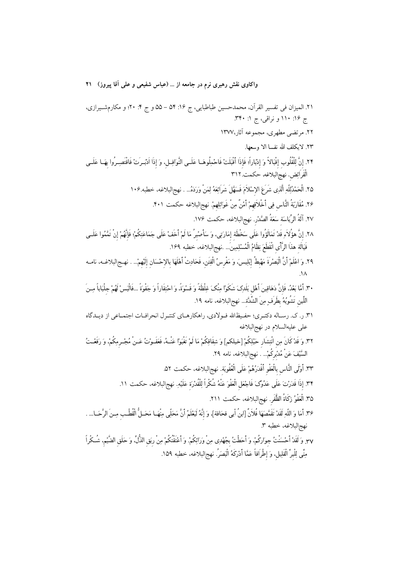واکاوی نقش رهبری نرم در جامعه از … (عباس شفیعی و علمی آقا پیروز) ۲۱ ٢١. الميزان في تفسير القرآن، محمدحسين طباطبايي، ج ١۶: ٥۴ – ٥٥ و ج ٠: ٢٠؛ و مكارمشـيرازي، ج ۱۶: ۱۱۰ و نراقبي، ج ۱: ۳۴۰. ۲۲. مرتضی مطهری، مجموعه آثار،۱۳۷۷ ٢٣. لايكلف الله نفسا الا وسعها. ٢٢. إنَّ لِلْقُلُوبِ إقْبَالاً وَ إدْبَاراً؛ فَإِذَا أَقْبَلَتْ فَاحْمِلُوهَــا عَلَــى النَّوَافِــل، وَ إذَا اَدْبَــرَتْ فَاقْتَصِــرُوا بهَــا عَلَــى الْفَرَائِض. نهجالبلاغه، حكمت ٣١٢ ٢۵. الْحَمْدُلِلَّهِ الَّذِي شَرَعَ الإِسْلاَمَ فَسَهَّلَ شَرَائِعَهُ لِمَنْ وَرَدَهُ... . نهج|لبلاغه، خطبه ١٠۶. ٢۶. مُقَارَبَةُ النَّاسِ فِي أَخْلاَقِهِمْ أَمْنٌ مِنْ غَوَائِلِهِمْ. نهج|لبلاغه حكمت ۴۰۱. ٢٧. آلَةُ الرِّيَاسَة سَعَةُ الصَّدْرِ. نهجالبلاغه، حكمت ١٧۶. ٢٨. إِنَّ هؤُلاَءِ قَدْ تَمَالَؤُوا عَلَى سَخْطَة إمَارَتِي، وَ سَأَصْبِرُ مَا لَمْ أَخَفْ عَلَى جَمَاعَتِكُمْ؛ فَإِنَّهُمْ إِنْ تَمَّمُوا عَلَــى فَيَالَة هذَا الرَّأْى انْقَطَعَ نِظَامُ الْمُسْلِمِينَ َ... .نهجالبلاغه، خطبه ١۶٩. ٢٩. وَ اعْلَمْ أَنَّ الْبَصْرَةَ مَهْبطُ إِبْلِيسَ، وَ مَغْرِسُ الْفِتَنِ، فَحَادِثْ أَهْلَهَا بالإحْسَانِ إِلَيْهِمْ... . نهـجالبلاغــه، نامــه  $\Lambda$ ٣. أمَّا بَعْدُ، فَإِنَّ دَهَاقِينَ أَهْل بَلَدِكَ شَكَوْا مِنْكَ غِلْظَةً وَ قَسْوَةً، وَ احْتِقَاراً وَ جَفْوَةً …فَالْبَسْ لَهُمْ جِلْبَاباً مِـنَ اللِّين تَشُوبُهُ بطَرَفٍ مِنَ الشِّدَّة... نهجالبلاغه، نامه ١٩. ۳۱. ر. ک. رسـاله دکتـري؛ حفـيظالله فـولادي، راهکارهـاي کنتـرل انحرافـات اجتمـاعي از ديـدگاه على عليهالسلام در نهج البلاغه ٣٢. وَ قَدْ كَانَ مِن انْتِشَار حَبْلِكُمْ [خيلكم] وَ شِقَاقِكُمْ مَا لَمْ تَغْبَوْا عَنْــهُ، فَعَفَـوْتُ عَــنْ مُجْــرمِكُمْ، وَ رَفَعْـتُ السَّيْفَ عَنْ مُدْبِرِكُمْ... . نهج|لبلاغه، نامه ٢٩. ٣٣. أَوْلَى النَّاس بِالْعَفْوِ أَقْدَرُهُمْ عَلَى الْعُقُوبَة. نهجِ البلاغه، حكمت ٥٢. ٣٣. إذا قَدَرْتَ عَلَى عَدُوَّکَ فَاجْعَلِ الْعَفْوَ عَنْهُ شُکْراً لِلْقُدْرَة عَلَيْهِ. نهجالبلاغه، حكمت ١١. ٣۵. الْعَفْوُ زِكَاةُ الظَّفَرِ. نهجالبلاغه، حكمت ٢١١. ٣٤. أمَا وَ اللَّهِ لَقَدْ تَقَمَّصَهَا فُلاَنٌ [ابنُ أبي قحَافة]، وَ إنَّهُ لَيَعْلَمُ أنَّ مَحَلِّي مِنْهَـا مَحَـلُّ الْقُطْـب مِـنَ الرَّحَــا... . نهج|لبلاغه، خطبه ٣. ٣٧. وَ لَقَدْ أَحْسَنْتُ جوارَكُمْ، وَ أَحَطْتُ بِجُهْدِي مِنْ وَرَائِكُمْ. وَ أَعْتَقْتُكُمْ مِنْ ربَق الذُّلِّ، وَ حَلَق الضَّيْم، شُـكْراً مِنِّي لِلْبرِّ الْقَلِيلِ، وَ إطْرَاقاً عَمَّا أَدْرَكَهُ الْبَصَرُ. نهج|لبلاغه، خطبه ١٥٩.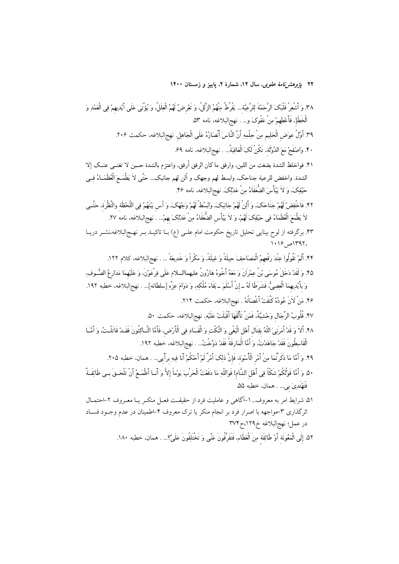۲۲ پژ*وهشرنامهٔ علوی*، سال ۱۲، شمارهٔ ۲، پاییز و زمستان ۱۴۰۰

٣٨. وَ أَشْعِرْ قَلْبَكَ الرَّحَمْةَ لِلرَّعِيَّةِ... يَفْرُطُ مِنْهُمُ الزَّلُلُ، وَ تَعْرِضُ لَهُمُ الْعِلَلُ، وَ يُؤتَى عَلَى أَيْدِيهِمْ فِي الْعَمْدِ وَ الْخَطَإِ، فَأَعْطِهِمْ مِنْ عَفْوِكَ و… . نهجِالبلاغه، نامه ٥٣. ٣٩. أَوَّلُ عِوَض الْحَلِيمِ مِنْ حِلْمِهِ أَنَّ النَّاسَ أَنْصَارُهُ عَلَى الْجَاهِلِ. نهجِالبلاغه، حكمت ٢٠۶. ۴۰. وَاصْفَحْ مَعَ الدَّوْلَة، تَكُنْ لَکَ الْعَاقِبَةُ... . نهجِ البلاغه، نامه ۶۹. ۴١. فواخلط الشدة بضغث من اللين، وارفق ما كان الرفق أرفق، واعتزم بالشدة حــين لا تغنــي عنــك إلا الشدة. واخفض للرعية جناحك، وابسط لهم وجهك و ألن لهم جانبك... حَتَّى لاَ يَطْمَـعَ الْعُظَمَــاءُ فِــى حَيْفِكَ، وَ لاَ يَيْأَسَ الضُّغَفَاءُ مِنْ عَدْلِكَ. نهجالبلاغه، نامه ۴۶. ۴۲. فَاخْفِضْ لَهُمْ جَنَاحَکَ، وَ أَلِنْ لَهُمْ جَانِبَکَ، وَابْسُطْ لَهُمْ وَجْهَکَ، وَ آس بَيْنَهُمْ فِى اللَّحْظَة والنَّظْرَة، حَتَّــى لاَ يَطْمَعَ الْعُظَمَاءُ فِي حَيْفِکَ لَهُمْ، وَ لاَ يَيْأَسِ الضُّعَفَاءُ مِنْ عَدْلِکَ بِهِمْ... . نهجالبلاغه، نامه ٢٧. ۴۳. برگرفته از لوح بینایی تحلیل تاریخ حکومت امام علـی (ع) بــا تاکیــد بــر نهــج|لبلاغه،نشــر دریــا  $1.19$  /  $-1191$ ۴۴. أَلَمْ تَقُولُوا عِنْدَ رَفْعِهِمُ الْمَصَاحِفَ حِيلَةً وَ غِيلَةً، وَ مَكْراً وَ خَدِيعَةً … . نهج|لبلاغه، كلام ١٢٢. ۴۵. وَ لَقَدْ دَخَلَ مُوسَى بْنُ عِمْرَانَ وَ مَعَهُ أَخُوهُ هَارُونُ عليهماالسلام عَلَى فِرْعَوْنَ، وَ عَلَيْهمَا مَدَارِعُ الصُّـوفِ، وَ بأَيْدِيهِمَا الْعِصِيُّ، فَشَرَطَا لَهُ ــ إنْ أَسْلَمَ ــ بَقَاءَ مُلْكِهِ، وَ دَوَامَ عِزَّهِ [سلطانه]... . نهج|لبلاغه، خطبه ١٩٢. ۴۶. مَنْ لَأَنَ عُودُهُ كَتُفَتْ أَغْصَانُهُ . نهج البلاغه، حكمت ٢١۴.

۴۷. قُلُوبُ الرِّجَالِ وَحْشِيَّةٌ، فَمَنْ تَأَلَّفَهَا أَقْبَلَتْ عَلَيْهِ. نهجِالبلاغه، حكمت ۵۰.

۴۸. أَلاَ وَ قَدْ أَمَرَنِيَ اللَّهُ بِقِتَال أَهْلِ الْبَغْيِ وَ النَّكْثِ وَ الْفَسَادِ فِي الْأَرْضِ، فَأَمَّا النَّــاكِثُونَ فَقَــدْ قَاتَلْـتُ، وَ أَمَّــا الْقَاسِطُونَ فَقَدْ جَاهَدْتُ، وَ أَمَّا الْمَارِقَةُ فَقَدْ دَوَّخْتُ... . نهجِ البلاغه، خَطبه ١٩٢.

۴۹. وَ أَمَّا مَا ذَكَرْتُمَا مِنْ أَمْرِ الْأُسْوَة، فَإِنَّ ذلِكَ أَمْرٌ لَمْ أَحْكُمْ أَنَا فِيهِ برأيي... . همان، خطبه ٢٠۵. ۵٠. وَ أَمَّا قَوْلُكُمْ شَكَّا فِي أَهْلِ الشَّام! فَوَاللَّهِ مَا دَفَعْتُ الْحَرْبَ يَوْماً إلاَّ وَ أَنـا أطْمَعُ أنْ تَلْحَـقَ بـي طَائِفَـةٌ فَتَهْتَدِيَ بي... . همان، خطبه ۵۵.

۵۱. شرايط امر به معروف…۱-آگاهی و عامليت فرد از حقيقـت فعـل منكـر يـا معـروف ۲-احتمـال اثرگذاری ۳-مواجهه با اصرار فرد بر انجام منکر یا ترک معروف ۴-اطمینان در عدم وجـود فسـاد در عمل؛ نهج البلاغه خ١٢٩،ح٣٧٣

٥٢. إلَى الْمَعُونَة أَوْ طَائِفَة مِنَ الْعَطَاءِ، فَتَفَرَّقُونَ عَنِّى وَ تَخْتَلِفُونَ عَلَىَّ؟... . همان، خطبه ١٨٠.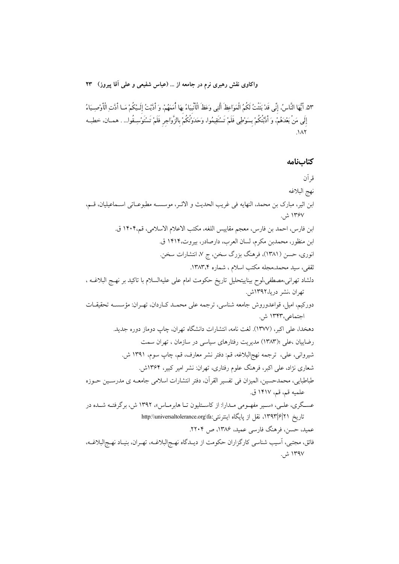٥٣. أَيُّهَا النَّاسُ، إنِّي قَدْ بَثَثتُ لَكُمُ الْمَوَاعِظَ أَلْتِي وَعَظَ الْأَنْبِيَاءُ بِهَا أُمَمَهُمْ، وَ أدَّيتُ إِلَـيْكُمْ مَـا أدَّتِ الْأَوْصِـيَاءُ إِلَى مَنْ بَعْدَهُمْ، وَ أَدَّبْتُكُمْ بِسَوْطِي فَلَمْ تَسْتَقِيمُوا، وَحَدَوْتُكُمْ بِالزَّوَاجِر فَلَمْ تَسْتَوْسِـقُوا... . همـان، خطبـه  $\Lambda$ 

#### كتابنامه

قر آن نهج البلاغه ابن اثير، مبارك بن محمد، النهايه في غريب الحديث و الاثـر، موسســه مطبوعــاتي اســماعيليان، قــم، ۱۳۶۷ ش. ابن فارس، احمد بن فارس، معجم مقاييس اللغه، مكتب الاعلام الاسلامي، قم،١۴٠۴ ق. ابن منظور، محمدبن مكرم، لسان العرب، دارصادر، بيروت،١۴١۴ ق. انوری، حسن (۱۳۸۱)، فرهنگ بزرگ سخن، ج ۷، انتشارات سخن. ثقفي، سيد محمد،مجله مكتب اسلام ، شماره ١٣٨٣.۴. دلشاد تهرانی،مصطفی،لوح بیناییتحلیل تاریخ حکومت امام علی علیهالسلام با تاکید بر نهـج البلاغــه ، تهران ،نشر دریا،۱۳۹۲ش. دورکیم، امیل، قواعدوروش جامعه شناسی، ترجمه علی محمـد کـاردان، تهـران: مؤسسـه تحقیقـات اجتماعی،۱۳۴۳ ش. دهخدا، علی اکبر، (۱۳۷۷). لغت نامه، انتشارات دانشگاه تهران، چاپ دوماز دوره جدید. رضاییان ،علی ؛(۱۳۸۳) مدیریت رفتارهای سیاسی در سازمان ، تهران سمت شيرواني، علي، ترجمه نهجالبلاغه، قم: دفتر نشر معارف، قم، چاپ سوم، ١٣٩١ ش. شعاری نژاد، علی اکبر، فرهنگ علوم رفتاری، تهران: نشر امیر کبیر، ۱۳۶۴ش. طباطبايي، محمدحسين، الميزان في تفسير القرآن، دفتر انتشارات اسلامي جامعــه ي مدرســين حــوزه علميه قم، قم، ١۴١٧ ق. عسـگری، علـی، «سـیر مفهـومی مـدارا: از کاسـتلیون تـا هابرمـاس»، ۱۳۹۲ ش، برگرفتـه شـده در تاريخ ١٣٩٣|١٣٩٢، نقل از پايگاه اينترنتي:http:\\universaltolerance.org\fa عمید، حسن، فرهنگ فارسی عمید، ۱۳۸۶، ص ۲۲۰۴. فائق، مجتبي، آسيب شناسي كارگزاران حكومت از ديــدگاه نهــجالبلاغــه، تهـران، بنيـاد نهــجالبلاغــه، ۱۳۹۷ ش.